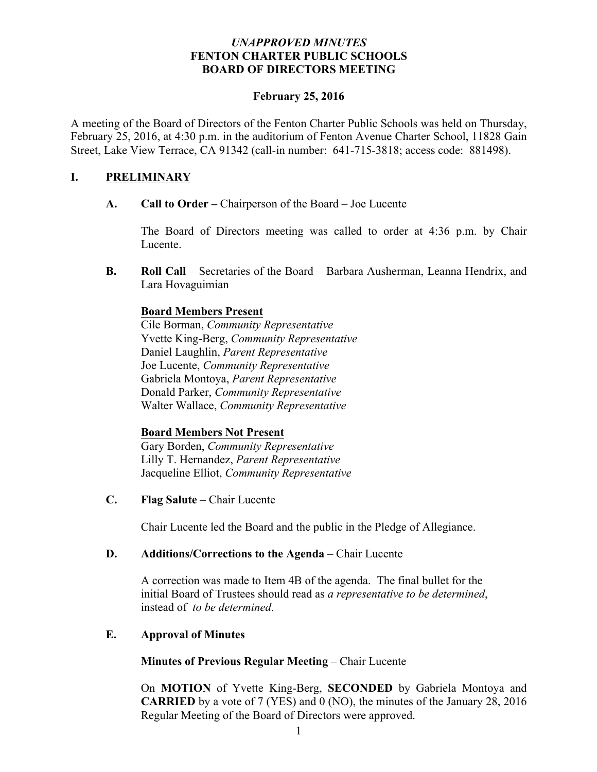## *UNAPPROVED MINUTES* **FENTON CHARTER PUBLIC SCHOOLS BOARD OF DIRECTORS MEETING**

#### **February 25, 2016**

A meeting of the Board of Directors of the Fenton Charter Public Schools was held on Thursday, February 25, 2016, at 4:30 p.m. in the auditorium of Fenton Avenue Charter School, 11828 Gain Street, Lake View Terrace, CA 91342 (call-in number: 641-715-3818; access code: 881498).

# **I. PRELIMINARY**

**A. Call to Order –** Chairperson of the Board – Joe Lucente

The Board of Directors meeting was called to order at 4:36 p.m. by Chair Lucente.

**B. Roll Call** – Secretaries of the Board – Barbara Ausherman, Leanna Hendrix, and Lara Hovaguimian

# **Board Members Present**

Cile Borman, *Community Representative* Yvette King-Berg, *Community Representative* Daniel Laughlin, *Parent Representative* Joe Lucente, *Community Representative* Gabriela Montoya, *Parent Representative* Donald Parker, *Community Representative* Walter Wallace, *Community Representative* 

# **Board Members Not Present**

Gary Borden, *Community Representative* Lilly T. Hernandez, *Parent Representative* Jacqueline Elliot, *Community Representative*

**C. Flag Salute** – Chair Lucente

Chair Lucente led the Board and the public in the Pledge of Allegiance.

#### **D. Additions/Corrections to the Agenda** – Chair Lucente

A correction was made to Item 4B of the agenda. The final bullet for the initial Board of Trustees should read as *a representative to be determined*, instead of *to be determined*.

# **E. Approval of Minutes**

**Minutes of Previous Regular Meeting** – Chair Lucente

On **MOTION** of Yvette King-Berg, **SECONDED** by Gabriela Montoya and **CARRIED** by a vote of 7 (YES) and 0 (NO), the minutes of the January 28, 2016 Regular Meeting of the Board of Directors were approved.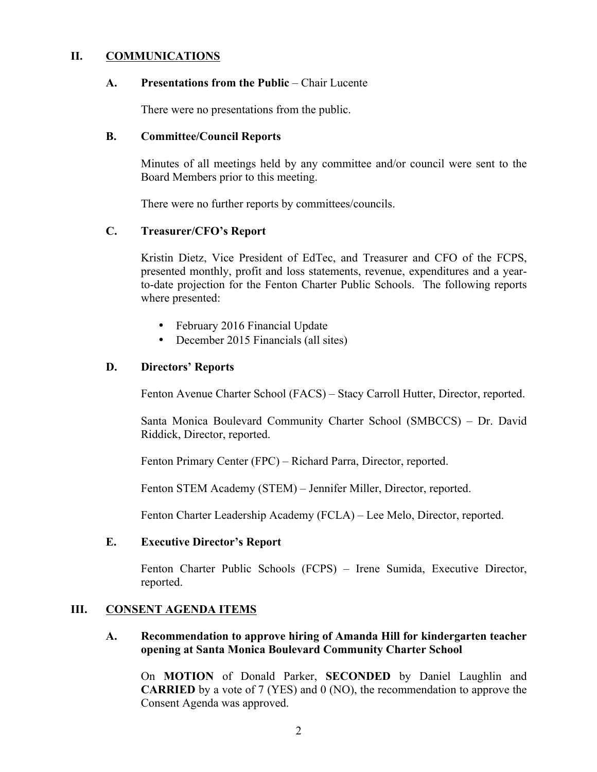## **II. COMMUNICATIONS**

#### **A. Presentations from the Public** – Chair Lucente

There were no presentations from the public.

#### **B. Committee/Council Reports**

Minutes of all meetings held by any committee and/or council were sent to the Board Members prior to this meeting.

There were no further reports by committees/councils.

#### **C. Treasurer/CFO's Report**

Kristin Dietz, Vice President of EdTec, and Treasurer and CFO of the FCPS, presented monthly, profit and loss statements, revenue, expenditures and a yearto-date projection for the Fenton Charter Public Schools. The following reports where presented:

- February 2016 Financial Update
- December 2015 Financials (all sites)

#### **D. Directors' Reports**

Fenton Avenue Charter School (FACS) – Stacy Carroll Hutter, Director, reported.

Santa Monica Boulevard Community Charter School (SMBCCS) – Dr. David Riddick, Director, reported.

Fenton Primary Center (FPC) – Richard Parra, Director, reported.

Fenton STEM Academy (STEM) – Jennifer Miller, Director, reported.

Fenton Charter Leadership Academy (FCLA) – Lee Melo, Director, reported.

#### **E. Executive Director's Report**

Fenton Charter Public Schools (FCPS) – Irene Sumida, Executive Director, reported.

#### **III. CONSENT AGENDA ITEMS**

## **A. Recommendation to approve hiring of Amanda Hill for kindergarten teacher opening at Santa Monica Boulevard Community Charter School**

On **MOTION** of Donald Parker, **SECONDED** by Daniel Laughlin and **CARRIED** by a vote of 7 (YES) and 0 (NO), the recommendation to approve the Consent Agenda was approved.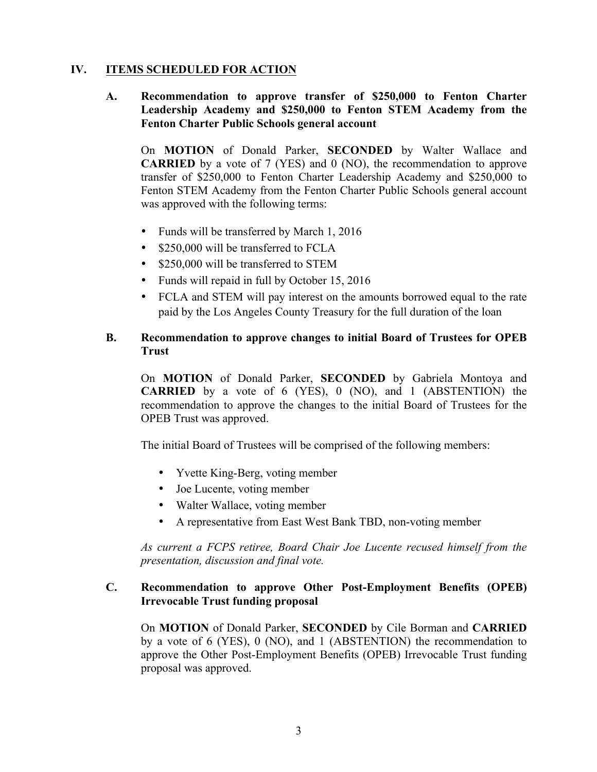# **IV. ITEMS SCHEDULED FOR ACTION**

## **A. Recommendation to approve transfer of \$250,000 to Fenton Charter Leadership Academy and \$250,000 to Fenton STEM Academy from the Fenton Charter Public Schools general account**

On **MOTION** of Donald Parker, **SECONDED** by Walter Wallace and **CARRIED** by a vote of 7 (YES) and 0 (NO), the recommendation to approve transfer of \$250,000 to Fenton Charter Leadership Academy and \$250,000 to Fenton STEM Academy from the Fenton Charter Public Schools general account was approved with the following terms:

- Funds will be transferred by March 1, 2016
- \$250,000 will be transferred to FCLA
- \$250,000 will be transferred to STEM
- Funds will repaid in full by October 15, 2016
- FCLA and STEM will pay interest on the amounts borrowed equal to the rate paid by the Los Angeles County Treasury for the full duration of the loan

## **B. Recommendation to approve changes to initial Board of Trustees for OPEB Trust**

On **MOTION** of Donald Parker, **SECONDED** by Gabriela Montoya and **CARRIED** by a vote of 6 (YES), 0 (NO), and 1 (ABSTENTION) the recommendation to approve the changes to the initial Board of Trustees for the OPEB Trust was approved.

The initial Board of Trustees will be comprised of the following members:

- Yvette King-Berg, voting member
- Joe Lucente, voting member
- Walter Wallace, voting member
- A representative from East West Bank TBD, non-voting member

*As current a FCPS retiree, Board Chair Joe Lucente recused himself from the presentation, discussion and final vote.*

## **C. Recommendation to approve Other Post-Employment Benefits (OPEB) Irrevocable Trust funding proposal**

On **MOTION** of Donald Parker, **SECONDED** by Cile Borman and **CARRIED** by a vote of 6 (YES), 0 (NO), and 1 (ABSTENTION) the recommendation to approve the Other Post-Employment Benefits (OPEB) Irrevocable Trust funding proposal was approved.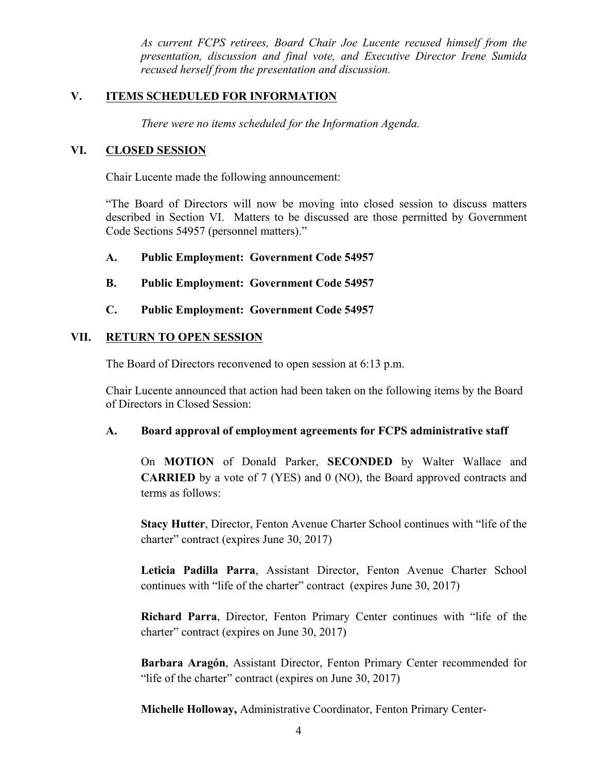*As current FCPS retirees, Board Chair Joe Lucente recused himself from the presentation, discussion and final vote, and Executive Director Irene Sumida recused herself from the presentation and discussion.* 

## **V. ITEMS SCHEDULED FOR INFORMATION**

*There were no items scheduled for the Information Agenda.*

## **VI. CLOSED SESSION**

Chair Lucente made the following announcement:

"The Board of Directors will now be moving into closed session to discuss matters described in Section VI. Matters to be discussed are those permitted by Government Code Sections 54957 (personnel matters)."

- **A. Public Employment: Government Code 54957**
- **B. Public Employment: Government Code 54957**
- **C. Public Employment: Government Code 54957**

## **VII. RETURN TO OPEN SESSION**

The Board of Directors reconvened to open session at 6:13 p.m.

Chair Lucente announced that action had been taken on the following items by the Board of Directors in Closed Session:

#### **A. Board approval of employment agreements for FCPS administrative staff**

On **MOTION** of Donald Parker, **SECONDED** by Walter Wallace and **CARRIED** by a vote of 7 (YES) and 0 (NO), the Board approved contracts and terms as follows:

**Stacy Hutter**, Director, Fenton Avenue Charter School continues with "life of the charter" contract (expires June 30, 2017)

**Leticia Padilla Parra**, Assistant Director, Fenton Avenue Charter School continues with "life of the charter" contract (expires June 30, 2017)

**Richard Parra**, Director, Fenton Primary Center continues with "life of the charter" contract (expires on June 30, 2017)

**Barbara Aragón**, Assistant Director, Fenton Primary Center recommended for "life of the charter" contract (expires on June 30, 2017)

**Michelle Holloway,** Administrative Coordinator, Fenton Primary Center-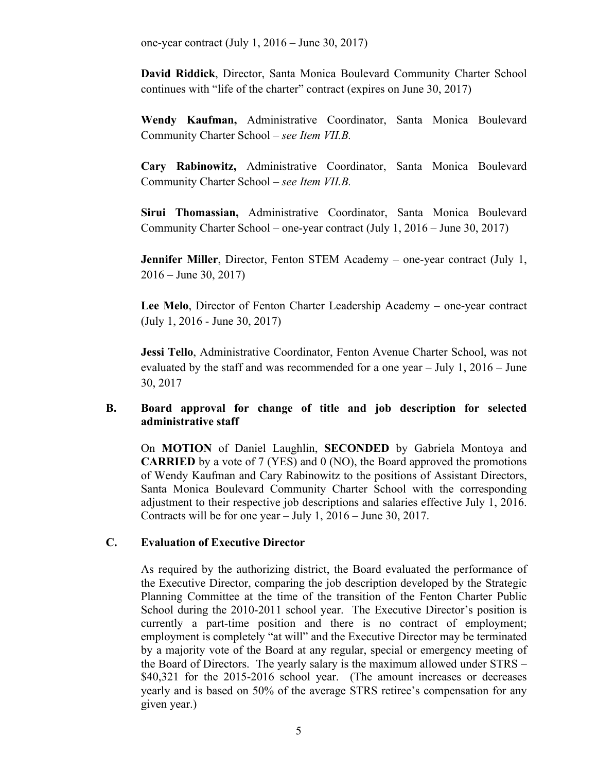one-year contract (July 1, 2016 – June 30, 2017)

**David Riddick**, Director, Santa Monica Boulevard Community Charter School continues with "life of the charter" contract (expires on June 30, 2017)

**Wendy Kaufman,** Administrative Coordinator, Santa Monica Boulevard Community Charter School – *see Item VII.B.*

**Cary Rabinowitz,** Administrative Coordinator, Santa Monica Boulevard Community Charter School – *see Item VII.B.*

**Sirui Thomassian,** Administrative Coordinator, Santa Monica Boulevard Community Charter School – one-year contract (July 1, 2016 – June 30, 2017)

**Jennifer Miller**, Director, Fenton STEM Academy – one-year contract (July 1, 2016 – June 30, 2017)

**Lee Melo**, Director of Fenton Charter Leadership Academy – one-year contract (July 1, 2016 - June 30, 2017)

**Jessi Tello**, Administrative Coordinator, Fenton Avenue Charter School, was not evaluated by the staff and was recommended for a one year – July 1, 2016 – June 30, 2017

## **B. Board approval for change of title and job description for selected administrative staff**

On **MOTION** of Daniel Laughlin, **SECONDED** by Gabriela Montoya and **CARRIED** by a vote of 7 (YES) and 0 (NO), the Board approved the promotions of Wendy Kaufman and Cary Rabinowitz to the positions of Assistant Directors, Santa Monica Boulevard Community Charter School with the corresponding adjustment to their respective job descriptions and salaries effective July 1, 2016. Contracts will be for one year – July 1, 2016 – June 30, 2017.

#### **C. Evaluation of Executive Director**

As required by the authorizing district, the Board evaluated the performance of the Executive Director, comparing the job description developed by the Strategic Planning Committee at the time of the transition of the Fenton Charter Public School during the 2010-2011 school year. The Executive Director's position is currently a part-time position and there is no contract of employment; employment is completely "at will" and the Executive Director may be terminated by a majority vote of the Board at any regular, special or emergency meeting of the Board of Directors. The yearly salary is the maximum allowed under STRS – \$40,321 for the 2015-2016 school year. (The amount increases or decreases yearly and is based on 50% of the average STRS retiree's compensation for any given year.)